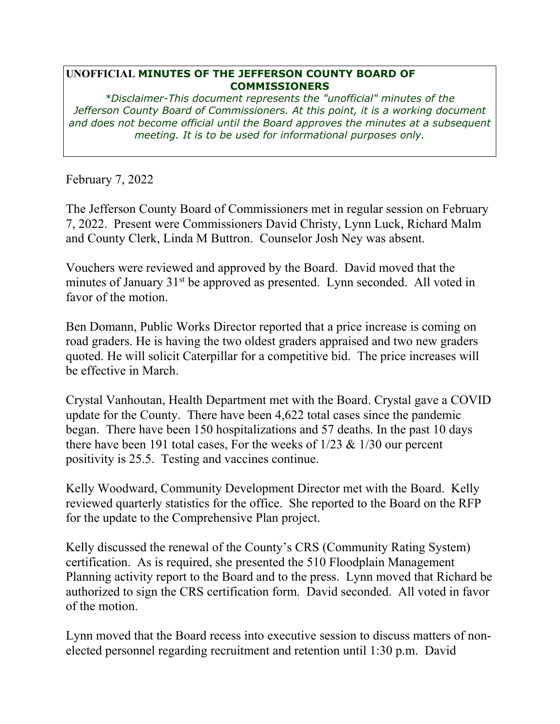## **UNOFFICIAL MINUTES OF THE JEFFERSON COUNTY BOARD OF COMMISSIONERS**

*\*Disclaimer-This document represents the "unofficial" minutes of the Jefferson County Board of Commissioners. At this point, it is a working document and does not become official until the Board approves the minutes at a subsequent meeting. It is to be used for informational purposes only.* 

February 7, 2022

The Jefferson County Board of Commissioners met in regular session on February 7, 2022. Present were Commissioners David Christy, Lynn Luck, Richard Malm and County Clerk, Linda M Buttron. Counselor Josh Ney was absent.

Vouchers were reviewed and approved by the Board. David moved that the minutes of January 31<sup>st</sup> be approved as presented. Lynn seconded. All voted in favor of the motion.

Ben Domann, Public Works Director reported that a price increase is coming on road graders. He is having the two oldest graders appraised and two new graders quoted. He will solicit Caterpillar for a competitive bid. The price increases will be effective in March.

Crystal Vanhoutan, Health Department met with the Board. Crystal gave a COVID update for the County. There have been 4,622 total cases since the pandemic began. There have been 150 hospitalizations and 57 deaths. In the past 10 days there have been 191 total cases, For the weeks of  $1/23 \& 1/30$  our percent positivity is 25.5. Testing and vaccines continue.

Kelly Woodward, Community Development Director met with the Board. Kelly reviewed quarterly statistics for the office. She reported to the Board on the RFP for the update to the Comprehensive Plan project.

Kelly discussed the renewal of the County's CRS (Community Rating System) certification. As is required, she presented the 510 Floodplain Management Planning activity report to the Board and to the press. Lynn moved that Richard be authorized to sign the CRS certification form. David seconded. All voted in favor of the motion.

Lynn moved that the Board recess into executive session to discuss matters of nonelected personnel regarding recruitment and retention until 1:30 p.m. David